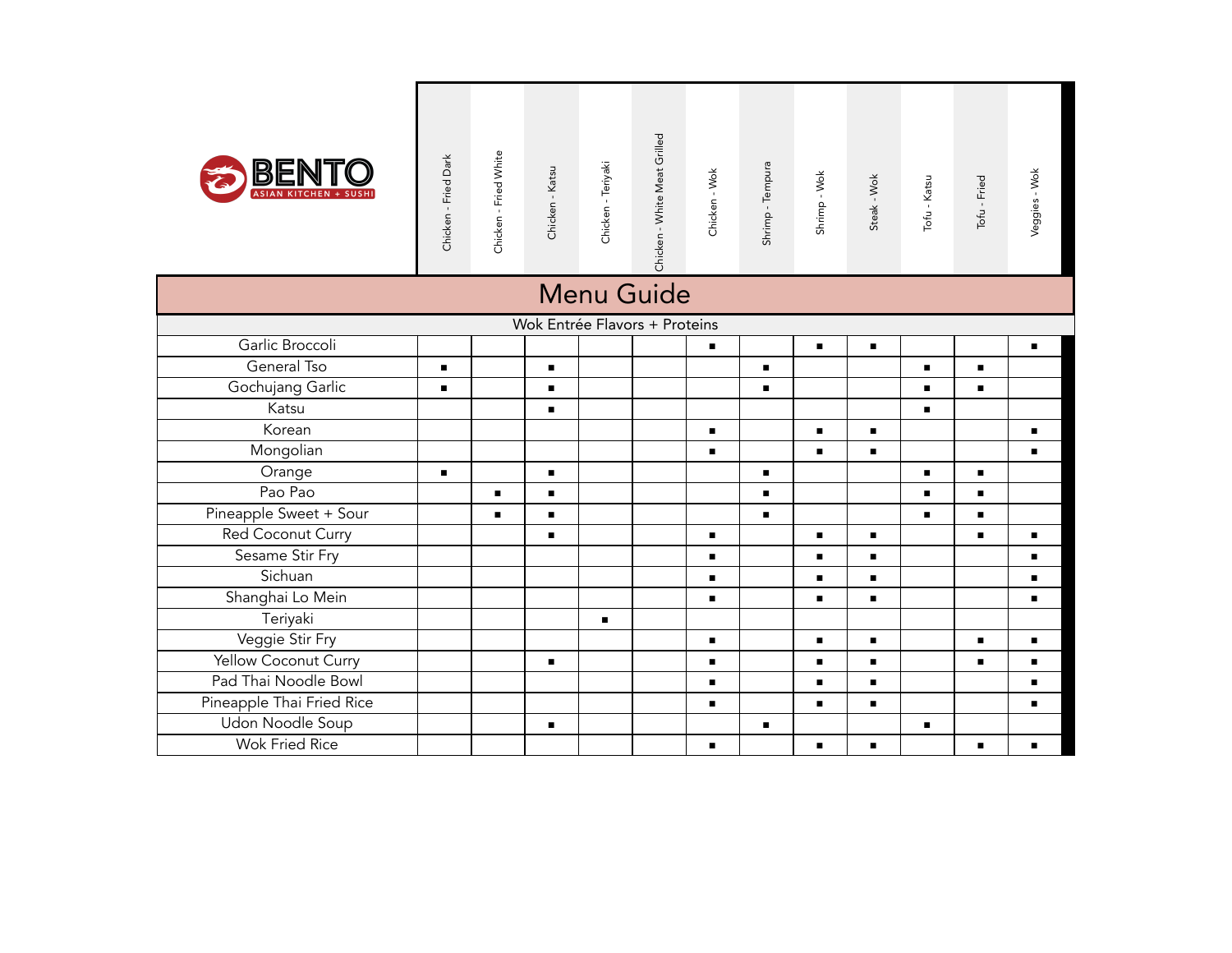| BENT                      | Chicken - Fried Dark | Chicken - Fried White | Chicken - Katsu | Chicken - Teriyaki | Chicken - White Meat Grilled  | Chicken - Wok  | Shrimp - Tempura | Shrimp - Wok   | Steak - Wok    | Tofu - Katsu   | Tofu - Fried   | Veggies - Wok  |
|---------------------------|----------------------|-----------------------|-----------------|--------------------|-------------------------------|----------------|------------------|----------------|----------------|----------------|----------------|----------------|
|                           |                      |                       |                 |                    | Menu Guide                    |                |                  |                |                |                |                |                |
|                           |                      |                       |                 |                    | Wok Entrée Flavors + Proteins |                |                  |                |                |                |                |                |
| Garlic Broccoli           |                      |                       |                 |                    |                               | ٠              |                  | $\blacksquare$ | $\blacksquare$ |                |                | $\blacksquare$ |
| General Tso               | $\blacksquare$       |                       | $\blacksquare$  |                    |                               |                | $\blacksquare$   |                |                | $\blacksquare$ | $\blacksquare$ |                |
| Gochujang Garlic          | $\blacksquare$       |                       | $\blacksquare$  |                    |                               |                | ٠                |                |                | ٠              | $\blacksquare$ |                |
| Katsu                     |                      |                       | $\blacksquare$  |                    |                               |                |                  |                |                |                |                |                |
| Korean                    |                      |                       |                 |                    |                               | $\blacksquare$ |                  | $\blacksquare$ | $\blacksquare$ |                |                |                |
| Mongolian                 |                      |                       |                 |                    |                               | ٠              |                  | $\blacksquare$ | ٠              |                |                | п              |
| Orange                    | $\blacksquare$       |                       | $\blacksquare$  |                    |                               |                | $\blacksquare$   |                |                |                | $\blacksquare$ |                |
| Pao Pao                   |                      |                       | $\blacksquare$  |                    |                               |                | ٠                |                |                |                | $\blacksquare$ |                |
| Pineapple Sweet + Sour    |                      | $\blacksquare$        | $\blacksquare$  |                    |                               |                | $\blacksquare$   |                |                | $\blacksquare$ | $\blacksquare$ |                |
| Red Coconut Curry         |                      |                       | $\blacksquare$  |                    |                               | $\blacksquare$ |                  | $\blacksquare$ | $\blacksquare$ |                | $\blacksquare$ | $\blacksquare$ |
| Sesame Stir Fry           |                      |                       |                 |                    |                               | $\blacksquare$ |                  | $\blacksquare$ | $\blacksquare$ |                |                | $\blacksquare$ |
| Sichuan                   |                      |                       |                 |                    |                               | $\blacksquare$ |                  | $\blacksquare$ | $\blacksquare$ |                |                | ٠              |
| Shanghai Lo Mein          |                      |                       |                 |                    |                               | $\blacksquare$ |                  | п              | $\blacksquare$ |                |                | $\blacksquare$ |
| Teriyaki                  |                      |                       |                 | $\blacksquare$     |                               |                |                  |                |                |                |                |                |
| Veggie Stir Fry           |                      |                       |                 |                    |                               | $\blacksquare$ |                  | П              | $\blacksquare$ |                | $\blacksquare$ | $\blacksquare$ |
| Yellow Coconut Curry      |                      |                       | $\blacksquare$  |                    |                               | $\blacksquare$ |                  | $\blacksquare$ | $\blacksquare$ |                | $\blacksquare$ | $\blacksquare$ |
| Pad Thai Noodle Bowl      |                      |                       |                 |                    |                               | $\blacksquare$ |                  | ×,             | $\blacksquare$ |                |                | $\blacksquare$ |
| Pineapple Thai Fried Rice |                      |                       |                 |                    |                               | $\blacksquare$ |                  | $\blacksquare$ | $\blacksquare$ |                |                | $\blacksquare$ |
| Udon Noodle Soup          |                      |                       | $\blacksquare$  |                    |                               |                | $\blacksquare$   |                |                | $\blacksquare$ |                |                |
| Wok Fried Rice            |                      |                       |                 |                    |                               | п              |                  | $\blacksquare$ | п              |                | п              | п              |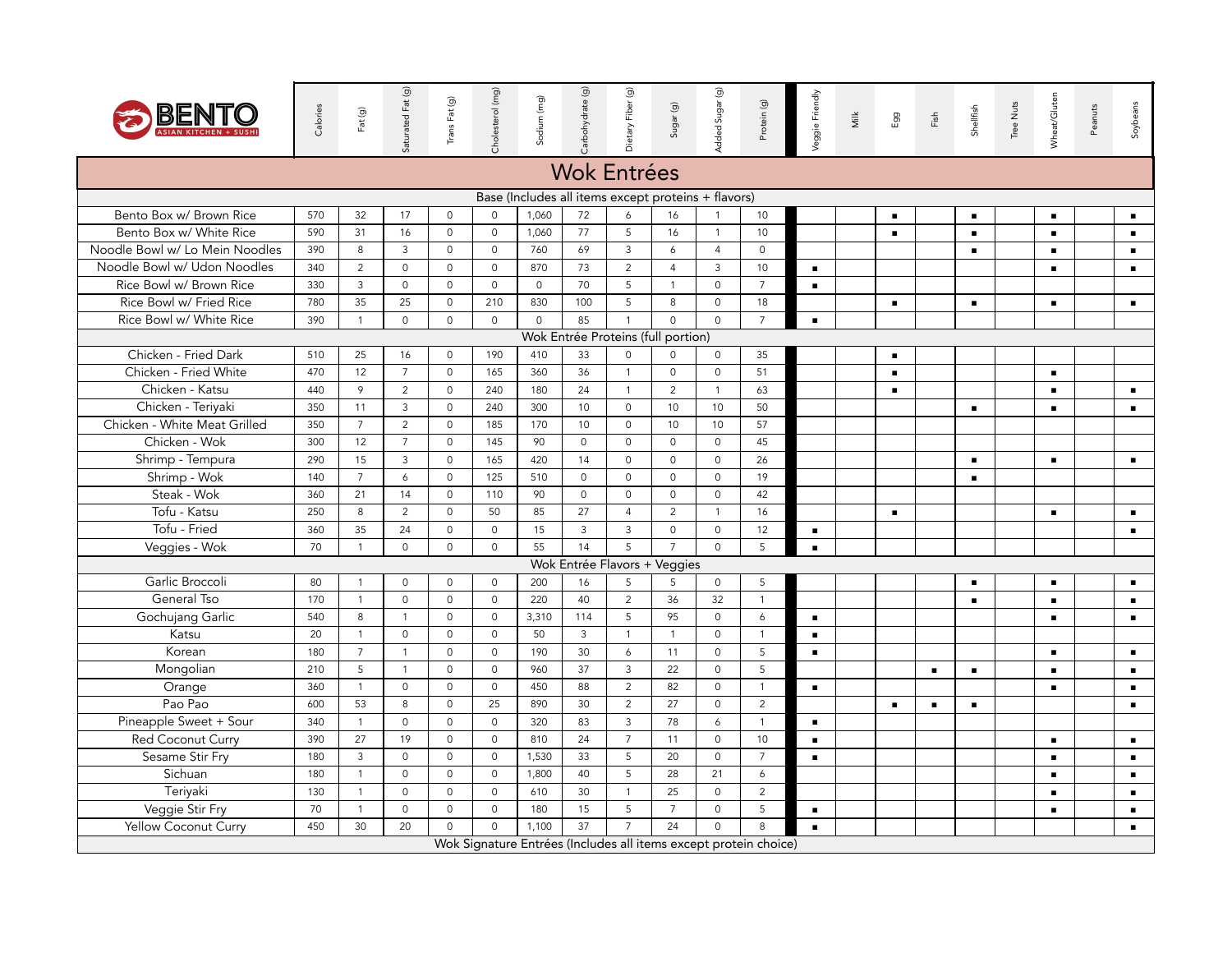

| BENT                           | Calories | Fat (g)        | Saturated Fat (g)   | Trans Fat (g)       | Cholesterol (mg)    | Sodium (mg)         | Carbohydrate (g)                                    | Dietary Fiber (g)   | Sugar (g)           | Added Sugar (g)     | Protein (g)                                                      | Veggie Friendly | Milk | Egg            | $\overline{\mathrm{Fish}}$ | Shellfish      | Tree Nuts | Wheat/Gluten   | Peanuts | Soybeans       |
|--------------------------------|----------|----------------|---------------------|---------------------|---------------------|---------------------|-----------------------------------------------------|---------------------|---------------------|---------------------|------------------------------------------------------------------|-----------------|------|----------------|----------------------------|----------------|-----------|----------------|---------|----------------|
|                                |          |                |                     |                     |                     |                     | <b>Wok Entrées</b>                                  |                     |                     |                     |                                                                  |                 |      |                |                            |                |           |                |         |                |
|                                |          |                |                     |                     |                     |                     | Base (Includes all items except proteins + flavors) |                     |                     |                     |                                                                  |                 |      |                |                            |                |           |                |         |                |
| Bento Box w/ Brown Rice        | 570      | 32             | 17                  | $\mathbf 0$         | $\mathsf 0$         | 1,060               | 72                                                  | 6                   | 16                  | $\overline{1}$      | 10                                                               |                 |      | $\blacksquare$ |                            | $\blacksquare$ |           | $\blacksquare$ |         |                |
| Bento Box w/ White Rice        | 590      | 31             | 16                  | $\mathsf{O}\xspace$ | $\mathsf{O}$        | 1,060               | 77                                                  | 5                   | 16                  | $\mathbf{1}$        | 10                                                               |                 |      | $\blacksquare$ |                            | $\blacksquare$ |           | $\blacksquare$ |         | $\blacksquare$ |
| Noodle Bowl w/ Lo Mein Noodles | 390      | 8              | 3                   | $\mathbf 0$         | $\Omega$            | 760                 | 69                                                  | $\mathbf{3}$        | 6                   | $\overline{4}$      | $\mathbf 0$                                                      |                 |      |                |                            | $\blacksquare$ |           | $\blacksquare$ |         | $\blacksquare$ |
| Noodle Bowl w/ Udon Noodles    | 340      | 2              | $\mathsf{O}\xspace$ | $\mathbf 0$         | $\mathbf 0$         | 870                 | 73                                                  | $\overline{2}$      | $\overline{4}$      | $\mathbf{3}$        | 10                                                               | $\blacksquare$  |      |                |                            |                |           | $\blacksquare$ |         | $\blacksquare$ |
| Rice Bowl w/ Brown Rice        | 330      | $\mathbf{3}$   | $\mathsf{O}\xspace$ | $\mathbf 0$         | $\mathbf 0$         | $\mathsf{O}\xspace$ | 70                                                  | 5                   | $\mathbf{1}$        | $\mathsf{O}\xspace$ | $\overline{7}$                                                   | $\blacksquare$  |      |                |                            |                |           |                |         |                |
| Rice Bowl w/ Fried Rice        | 780      | 35             | 25                  | $\mathbf 0$         | 210                 | 830                 | 100                                                 | 5                   | 8                   | $\mathbf 0$         | 18                                                               |                 |      | $\blacksquare$ |                            | $\blacksquare$ |           | $\blacksquare$ |         | $\blacksquare$ |
| Rice Bowl w/ White Rice        | 390      | $\mathbf{1}$   | $\mathsf{O}\xspace$ | $\mathsf{O}\xspace$ | $\Omega$            | $\mathsf O$         | 85                                                  | $\overline{1}$      | $\Omega$            | $\mathsf{O}\xspace$ | $\overline{7}$                                                   | $\blacksquare$  |      |                |                            |                |           |                |         |                |
|                                |          |                |                     |                     |                     |                     | Wok Entrée Proteins (full portion)                  |                     |                     |                     |                                                                  |                 |      |                |                            |                |           |                |         |                |
| Chicken - Fried Dark           | 510      | 25             | 16                  | $\mathsf O$         | 190                 | 410                 | 33                                                  | $\mathsf{O}\xspace$ | $\mathsf{O}$        | $\mathsf{O}$        | 35                                                               |                 |      | $\blacksquare$ |                            |                |           |                |         |                |
| Chicken - Fried White          | 470      | 12             | $\overline{7}$      | $\mathsf{O}$        | 165                 | 360                 | 36                                                  | $\mathbf{1}$        | $\mathsf{O}\xspace$ | $\mathsf{O}\xspace$ | 51                                                               |                 |      | $\blacksquare$ |                            |                |           | $\blacksquare$ |         |                |
| Chicken - Katsu                | 440      | 9              | $\overline{2}$      | $\mathbf 0$         | 240                 | 180                 | 24                                                  | $\mathbf{1}$        | 2                   | $\mathbf{1}$        | 63                                                               |                 |      | $\blacksquare$ |                            |                |           | $\blacksquare$ |         | $\blacksquare$ |
| Chicken - Teriyaki             | 350      | 11             | 3                   | $\mathbf 0$         | 240                 | 300                 | 10                                                  | $\mathbf 0$         | 10                  | 10                  | 50                                                               |                 |      |                |                            | $\blacksquare$ |           | $\blacksquare$ |         | $\blacksquare$ |
| Chicken - White Meat Grilled   | 350      | $\overline{7}$ | $\overline{2}$      | $\circ$             | 185                 | 170                 | 10                                                  | $\mathsf{O}\xspace$ | 10                  | 10                  | 57                                                               |                 |      |                |                            |                |           |                |         |                |
| Chicken - Wok                  | 300      | 12             | $\overline{7}$      | $\mathsf{O}\xspace$ | 145                 | 90                  | $\circ$                                             | $\mathsf{O}\xspace$ | $\mathbf 0$         | $\mathsf 0$         | 45                                                               |                 |      |                |                            |                |           |                |         |                |
| Shrimp - Tempura               | 290      | 15             | 3                   | $\circ$             | 165                 | 420                 | 14                                                  | $\mathsf{O}\xspace$ | $\mathsf{O}\xspace$ | $\mathsf{O}\xspace$ | 26                                                               |                 |      |                |                            | $\blacksquare$ |           | $\blacksquare$ |         | $\blacksquare$ |
| Shrimp - Wok                   | 140      | $\overline{7}$ | 6                   | $\Omega$            | 125                 | 510                 | $\Omega$                                            | $\mathsf{O}\xspace$ | $\mathsf{O}\xspace$ | $\mathsf{O}\xspace$ | 19                                                               |                 |      |                |                            | $\blacksquare$ |           |                |         |                |
| Steak - Wok                    | 360      | 21             | 14                  | $\circ$             | 110                 | 90                  | $\circ$                                             | $\mathsf{O}$        | $\mathbf 0$         | $\mathbf{0}$        | 42                                                               |                 |      |                |                            |                |           |                |         |                |
| Tofu - Katsu                   | 250      | 8              | 2                   | $\mathbf 0$         | 50                  | 85                  | 27                                                  | $\overline{4}$      | $\overline{2}$      | $\overline{1}$      | 16                                                               |                 |      | $\blacksquare$ |                            |                |           | $\blacksquare$ |         | $\blacksquare$ |
| Tofu - Fried                   | 360      | 35             | 24                  | $\circ$             | $\circ$             | 15                  | $\mathbf{3}$                                        | $\overline{3}$      | $\circ$             | $\mathbf 0$         | 12                                                               | $\blacksquare$  |      |                |                            |                |           |                |         | $\blacksquare$ |
| Veggies - Wok                  | 70       | $\mathbf{1}$   | $\mathsf{O}\xspace$ | $\mathsf{O}$        | $\mathbf 0$         | 55                  | 14                                                  | 5                   | $\overline{7}$      | $\mathsf{O}\xspace$ | 5                                                                | $\blacksquare$  |      |                |                            |                |           |                |         |                |
|                                |          |                |                     |                     |                     |                     | Wok Entrée Flavors + Veggies                        |                     |                     |                     |                                                                  |                 |      |                |                            |                |           |                |         |                |
| Garlic Broccoli                | 80       | $\mathbf{1}$   | $\mathsf{O}$        | $\mathbf 0$         | $\mathbf 0$         | 200                 | 16                                                  | 5                   | 5                   | $\mathsf{O}$        | 5                                                                |                 |      |                |                            | $\blacksquare$ |           | $\blacksquare$ |         | $\blacksquare$ |
| General Tso                    | 170      | $\overline{1}$ | $\mathbf 0$         | $\mathbf 0$         | $\mathbf 0$         | 220                 | 40                                                  | $\overline{2}$      | 36                  | 32                  | $\mathbf{1}$                                                     |                 |      |                |                            | $\blacksquare$ |           | $\blacksquare$ |         | $\blacksquare$ |
| Gochujang Garlic               | 540      | 8              | $\mathbf{1}$        | $\circ$             | $\circ$             | 3,310               | 114                                                 | 5                   | 95                  | $\mathbf 0$         | $\ddot{\delta}$                                                  | $\blacksquare$  |      |                |                            |                |           | $\blacksquare$ |         | $\blacksquare$ |
| Katsu                          | 20       | $\overline{1}$ | $\mathsf{O}\xspace$ | $\mathbf 0$         | $\mathbf 0$         | 50                  | 3                                                   | $\mathbf{1}$        | $\mathbf{1}$        | $\mathsf 0$         | $\mathbf{1}$                                                     | $\blacksquare$  |      |                |                            |                |           |                |         |                |
| Korean                         | 180      | $\overline{7}$ | $\mathbf{1}$        | $\circ$             | $\mathbf 0$         | 190                 | 30                                                  | $6\overline{6}$     | 11                  | $\mathbf 0$         | 5                                                                | $\blacksquare$  |      |                |                            |                |           | $\blacksquare$ |         | $\blacksquare$ |
| Mongolian                      | 210      | 5              | $\mathbf{1}$        | $\circ$             | $\mathbf 0$         | 960                 | 37                                                  | $\mathbf{3}$        | 22                  | $\mathbf 0$         | 5                                                                |                 |      |                | $\blacksquare$             | $\blacksquare$ |           | $\blacksquare$ |         | $\blacksquare$ |
| Orange                         | 360      | $\mathbf{1}$   | $\mathbf 0$         | $\mathbf 0$         | $\circ$             | 450                 | 88                                                  | $\overline{2}$      | 82                  | $\mathbf 0$         | $\mathbf{1}$                                                     | $\blacksquare$  |      |                |                            |                |           | $\blacksquare$ |         | $\blacksquare$ |
| Pao Pao                        | 600      | 53             | $\,8\,$             | $\mathsf{O}$        | 25                  | 890                 | 30                                                  | $\overline{2}$      | 27                  | $\mathsf{O}$        | $\overline{2}$                                                   |                 |      | $\blacksquare$ | $\blacksquare$             | $\blacksquare$ |           |                |         | $\blacksquare$ |
| Pineapple Sweet + Sour         | 340      | $\overline{1}$ | $\mathsf{O}\xspace$ | $\circ$             | $\mathsf{O}\xspace$ | 320                 | 83                                                  | $\mathbf{3}$        | 78                  | 6                   | $\mathbf{1}$                                                     | $\blacksquare$  |      |                |                            |                |           |                |         |                |
| Red Coconut Curry              | 390      | 27             | 19                  | $\mathbf 0$         | $\mathbf 0$         | 810                 | 24                                                  | $\overline{7}$      | 11                  | $\mathbf 0$         | 10                                                               | $\blacksquare$  |      |                |                            |                |           | $\blacksquare$ |         | $\blacksquare$ |
| Sesame Stir Fry                | 180      | 3              | $\mathbf 0$         | $\circ$             | $\mathbf 0$         | 1,530               | 33                                                  | 5                   | 20                  | $\mathbf{0}$        | $\overline{7}$                                                   | $\blacksquare$  |      |                |                            |                |           | $\blacksquare$ |         | $\blacksquare$ |
| Sichuan                        | 180      | $\mathbf{1}$   | $\mathbf 0$         | $\circ$             | $\mathbf 0$         | 1,800               | 40                                                  | 5                   | 28                  | 21                  | $\boldsymbol{6}$                                                 |                 |      |                |                            |                |           | $\blacksquare$ |         | $\blacksquare$ |
| Teriyaki                       | 130      | $\mathbf{1}$   | $\mathsf{O}\xspace$ | $\mathsf{O}$        | $\mathsf{O}\xspace$ | 610                 | 30                                                  | $\mathbf{1}$        | 25                  | $\mathbf 0$         | $\overline{2}$                                                   |                 |      |                |                            |                |           | $\blacksquare$ |         | $\blacksquare$ |
| Veggie Stir Fry                | 70       | $\mathbf{1}$   | $\mathbf 0$         | $\circ$             | $\Omega$            | 180                 | 15                                                  | $5\overline{)}$     | $\overline{7}$      | $\mathbf 0$         | 5                                                                | $\blacksquare$  |      |                |                            |                |           | $\blacksquare$ |         | $\blacksquare$ |
| Yellow Coconut Curry           | 450      | 30             | 20                  | $\circ$             | $\Omega$            | 1,100               | 37                                                  | $\overline{7}$      | 24                  | $\mathbf 0$         | 8                                                                | $\blacksquare$  |      |                |                            |                |           |                |         | $\blacksquare$ |
|                                |          |                |                     |                     |                     |                     |                                                     |                     |                     |                     | Wok Signature Entrées (Includes all items except protein choice) |                 |      |                |                            |                |           |                |         |                |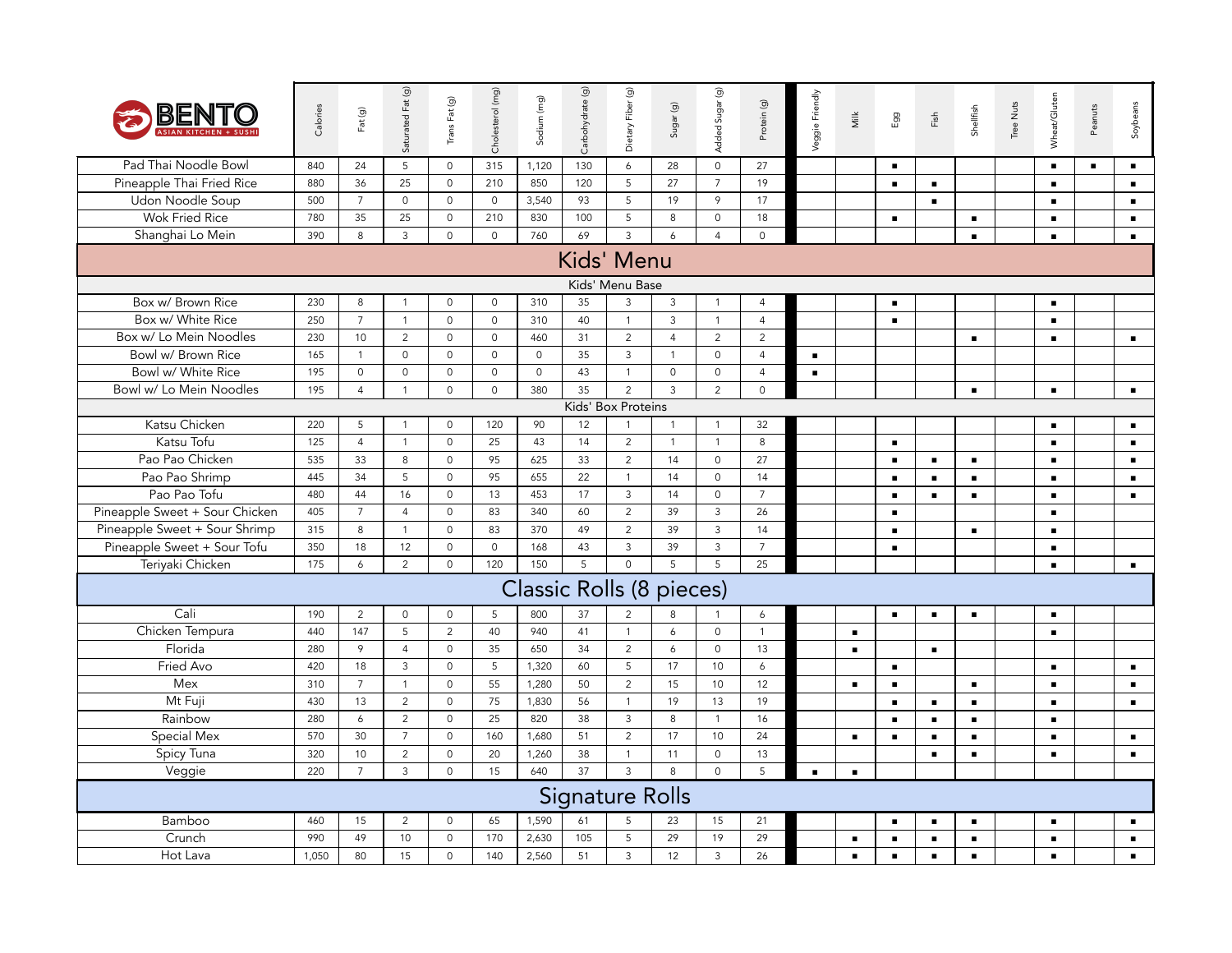| BEN                            | Calories   | Fat(g)               | Saturated Fat (g)         | Trans Fat (g)                  | Cholesterol (mg)    | Sodium (mg)                     | Carbohydrate (g)       | Dietary Fiber (g)              | S <sub>ugar</sub> (g) | Added Sugar (g)                | Protein (g)          | Veggie Friendly | Μilk           | Egg            | Fish           | Shellfish      | Tree Nuts | Wheat/Gluten   | Peanuts        | Soybeans       |
|--------------------------------|------------|----------------------|---------------------------|--------------------------------|---------------------|---------------------------------|------------------------|--------------------------------|-----------------------|--------------------------------|----------------------|-----------------|----------------|----------------|----------------|----------------|-----------|----------------|----------------|----------------|
| Pad Thai Noodle Bowl           | 840        | 24                   | 5                         | $\mathbf 0$                    | 315                 | 1,120                           | 130                    | 6                              | 28                    | $\mathbf{0}$                   | 27                   |                 |                | $\blacksquare$ |                |                |           | $\blacksquare$ | $\blacksquare$ | $\blacksquare$ |
| Pineapple Thai Fried Rice      | 880        | 36                   | 25                        | $\mathsf{O}\xspace$            | 210                 | 850                             | 120                    | 5                              | 27                    | $\overline{7}$                 | 19                   |                 |                | $\blacksquare$ | $\blacksquare$ |                |           | $\blacksquare$ |                | $\blacksquare$ |
| Udon Noodle Soup               | 500        | $\overline{7}$       | $\mathsf{O}\xspace$       | $\circ$                        | $\mathsf{O}\xspace$ | 3,540                           | 93                     | 5                              | 19                    | $\mathcal{P}$                  | 17                   |                 |                |                | $\blacksquare$ |                |           | $\blacksquare$ |                | $\blacksquare$ |
| <b>Wok Fried Rice</b>          | 780        | 35                   | 25                        | $\circ$                        | 210                 | 830                             | 100                    | 5                              | 8                     | $\mathsf{O}$                   | 18                   |                 |                | $\blacksquare$ |                | $\blacksquare$ |           | $\blacksquare$ |                | $\blacksquare$ |
| Shanghai Lo Mein               | 390        | 8                    | $\ensuremath{\mathsf{3}}$ | $\mathsf{O}\xspace$            | $\mathbf 0$         | 760                             | 69                     | $\overline{3}$                 | 6                     | $\overline{4}$                 | $\mathbf{0}$         |                 |                |                |                | $\blacksquare$ |           | $\blacksquare$ |                | $\blacksquare$ |
|                                |            |                      |                           |                                |                     |                                 | Kids' Menu             |                                |                       |                                |                      |                 |                |                |                |                |           |                |                |                |
|                                |            |                      |                           |                                |                     |                                 |                        | Kids' Menu Base                |                       |                                |                      |                 |                |                |                |                |           |                |                |                |
| Box w/ Brown Rice              | 230        | 8                    | $\mathbf{1}$              | $\circ$                        | $\circ$             | 310                             | 35                     | 3                              | $\overline{3}$        | $\mathbf{1}$                   | $\overline{4}$       |                 |                | $\blacksquare$ |                |                |           | $\blacksquare$ |                |                |
| Box w/ White Rice              | 250        | $\overline{7}$       | $\mathbf{1}$              | $\mathsf{O}\xspace$            | $\mathsf{O}\xspace$ | 310                             | 40                     | $\mathbf{1}$                   | $\mathbf{3}$          | $\mathbf{1}$                   | $\overline{4}$       |                 |                | $\blacksquare$ |                |                |           | $\blacksquare$ |                |                |
| Box w/ Lo Mein Noodles         | 230        | 10                   | $\overline{2}$            | $\mathsf{O}\xspace$            | $\mathsf{O}\xspace$ | 460                             | 31                     | $\overline{2}$                 | $\overline{4}$        | $\overline{c}$                 | $\overline{c}$       |                 |                |                |                | $\blacksquare$ |           | $\blacksquare$ |                | $\blacksquare$ |
| Bowl w/ Brown Rice             | 165        | $\overline{1}$       | $\mathbf 0$               | $\mathbf 0$                    | $\circ$             | $\mathbf 0$                     | 35                     | $\mathbf{3}$                   | $\overline{1}$        | $\mathbf 0$                    | $\overline{4}$       | $\blacksquare$  |                |                |                |                |           |                |                |                |
| Bowl w/ White Rice             | 195        | $\mathsf{O}\xspace$  | $\mathsf{O}\xspace$       | $\mathsf{O}\xspace$            | $\mathsf{O}\xspace$ | $\mathsf{O}\xspace$             | 43                     | $\mathbf{1}$                   | $\mathbf 0$           | $\mathsf{O}$                   | $\overline{4}$       | $\blacksquare$  |                |                |                |                |           |                |                |                |
| Bowl w/ Lo Mein Noodles        | 195        | $\overline{4}$       | $\mathbf{1}$              | $\mathsf{O}$                   | $\circ$             | 380                             | 35                     | $\overline{2}$                 | $\overline{3}$        | $\overline{c}$                 | $\circ$              |                 |                |                |                | $\blacksquare$ |           | $\blacksquare$ |                | $\blacksquare$ |
|                                |            |                      |                           |                                |                     |                                 |                        | Kids' Box Proteins             |                       |                                |                      |                 |                |                |                |                |           |                |                |                |
| Katsu Chicken<br>Katsu Tofu    | 220        | 5                    | $\mathbf{1}$              | $\mathsf{O}\xspace$            | 120                 | 90                              | 12                     | $\mathbf{1}$                   | $\overline{1}$        | $\mathbf{1}$                   | 32                   |                 |                |                |                |                |           | $\blacksquare$ |                | $\blacksquare$ |
|                                | 125        | $\overline{4}$       | $\mathbf{1}$              | $\mathbf 0$                    | 25                  | 43                              | 14                     | $\overline{2}$                 | $\overline{1}$        | $\mathbf{1}$                   | 8                    |                 |                | $\blacksquare$ |                |                |           | $\blacksquare$ |                | $\blacksquare$ |
| Pao Pao Chicken                | 535        | 33                   | 8                         | $\mathsf{O}\xspace$            | 95                  | 625                             | 33                     | $\overline{2}$                 | 14                    | $\mathsf{O}$                   | 27                   |                 |                | $\blacksquare$ | $\blacksquare$ | $\blacksquare$ |           | $\blacksquare$ |                | $\blacksquare$ |
| Pao Pao Shrimp<br>Pao Pao Tofu | 445<br>480 | 34                   | 5<br>16                   | $\mathsf{O}\xspace$<br>$\circ$ | 95<br>13            | 655                             | 22<br>17               | $\mathbf{1}$<br>$\overline{3}$ | 14                    | $\mathsf{O}\xspace$<br>$\circ$ | 14<br>$\overline{7}$ |                 |                | $\blacksquare$ | $\blacksquare$ | $\blacksquare$ |           | $\blacksquare$ |                | $\blacksquare$ |
| Pineapple Sweet + Sour Chicken | 405        | 44<br>$\overline{7}$ | $\overline{4}$            | $\circ$                        | 83                  | 453<br>340                      |                        | $\overline{2}$                 | 14<br>39              | $\mathbf{3}$                   | 26                   |                 |                | $\blacksquare$ | $\blacksquare$ | $\blacksquare$ |           | $\blacksquare$ |                | $\blacksquare$ |
| Pineapple Sweet + Sour Shrimp  | 315        | 8                    | $\mathbf{1}$              | $\mathsf{O}$                   | 83                  | 370                             | 60<br>49               | $\overline{2}$                 | 39                    | $\mathsf{3}$                   | 14                   |                 |                | $\blacksquare$ |                |                |           | $\blacksquare$ |                |                |
| Pineapple Sweet + Sour Tofu    | 350        | 18                   | 12                        | $\circ$                        | $\mathbf 0$         |                                 | 43                     | $\mathsf 3$                    | 39                    | $\mathbf{3}$                   | $\overline{7}$       |                 |                | $\blacksquare$ |                | $\blacksquare$ |           | $\blacksquare$ |                |                |
| Teriyaki Chicken               | 175        | 6                    | $\overline{2}$            | $\circ$                        | 120                 | 168<br>150                      | 5                      | $\circ$                        | 5                     | 5                              | 25                   |                 |                | $\blacksquare$ |                |                |           | $\blacksquare$ |                |                |
|                                |            |                      |                           |                                |                     |                                 |                        |                                |                       |                                |                      |                 |                |                |                |                |           | $\blacksquare$ |                | $\blacksquare$ |
|                                |            |                      |                           |                                |                     | <b>Classic Rolls (8 pieces)</b> |                        |                                |                       |                                |                      |                 |                |                |                |                |           |                |                |                |
| Cali                           | 190        | 2                    | $\mathsf{O}$              | $\mathsf{O}\xspace$            | 5                   | 800                             | 37                     | 2                              | 8                     |                                | 6                    |                 |                | $\blacksquare$ | $\blacksquare$ | $\blacksquare$ |           | $\blacksquare$ |                |                |
| Chicken Tempura                | 440        | 147                  | 5                         | $\overline{c}$                 | 40                  | 940                             | 41                     | $\mathbf{1}$                   | 6                     | $\mathsf{O}$                   | $\overline{1}$       |                 | $\blacksquare$ |                |                |                |           | $\blacksquare$ |                |                |
| Florida                        | 280        | $\circ$              | $\overline{4}$            | $\circ$                        | 35                  | 650                             | 34                     | $\overline{2}$                 | 6                     | $\mathbf 0$                    | 13                   |                 | $\blacksquare$ |                | $\blacksquare$ |                |           |                |                |                |
| Fried Avo                      | 420        | 18                   | 3                         | $\mathsf{O}\xspace$            | 5                   | 1,320                           | 60                     | 5                              | 17                    | 10                             | 6                    |                 |                | $\blacksquare$ |                |                |           | $\blacksquare$ |                | $\blacksquare$ |
| Mex                            | 310        | $\overline{7}$       | $\mathbf{1}$              | $\mathsf{O}\xspace$            | 55                  | 1,280                           | 50                     | $\overline{c}$                 | 15                    | 10                             | 12                   |                 | $\blacksquare$ | $\blacksquare$ |                | $\blacksquare$ |           | $\blacksquare$ |                | $\blacksquare$ |
| Mt Fuji                        | 430        | 13                   | $\overline{2}$            | $\circ$                        | 75                  | 1,830                           | 56                     | $\mathbf{1}$                   | 19                    | 13                             | 19                   |                 |                | $\blacksquare$ | $\blacksquare$ | $\blacksquare$ |           | $\blacksquare$ |                | $\blacksquare$ |
| Rainbow                        | 280        | 6                    | $\overline{2}$            | $\mathsf{O}\xspace$            | 25                  | 820                             | 38                     | $\mathsf{3}$                   | 8                     | $\mathbf{1}$                   | 16                   |                 |                | $\blacksquare$ | $\blacksquare$ | $\blacksquare$ |           | $\blacksquare$ |                |                |
| Special Mex                    | 570        | 30                   | $\overline{7}$            | $\mathsf{O}\xspace$            | 160                 | 1,680                           | 51                     | $\overline{2}$                 | 17                    | 10                             | 24                   |                 | $\blacksquare$ | $\blacksquare$ | $\blacksquare$ | $\blacksquare$ |           | $\blacksquare$ |                | $\blacksquare$ |
| Spicy Tuna                     | 320        | 10                   | $\overline{2}$            | $\circ$                        | 20                  | 1,260                           | 38                     | $\mathbf{1}$                   | 11                    | $\mathbf 0$                    | 13                   |                 |                |                | $\blacksquare$ | $\blacksquare$ |           | $\blacksquare$ |                | $\blacksquare$ |
| Veggie                         | 220        | $\overline{7}$       | 3                         | $\mathsf{O}\xspace$            | 15                  | 640                             | $\overline{37}$        | $\overline{3}$                 | $\mathsf{R}$          | $\circ$                        | 5                    | $\blacksquare$  | $\blacksquare$ |                |                |                |           |                |                |                |
|                                |            |                      |                           |                                |                     |                                 | <b>Signature Rolls</b> |                                |                       |                                |                      |                 |                |                |                |                |           |                |                |                |
| Bamboo                         | 460        | 15                   | 2                         | $\mathsf{O}\xspace$            | 65                  | 1,590                           | 61                     | 5                              | 23                    | 15                             | 21                   |                 |                | $\blacksquare$ | $\blacksquare$ | $\blacksquare$ |           | $\blacksquare$ |                | $\blacksquare$ |
| Crunch                         | 990        | 49                   | 10                        | $\circ$                        | 170                 | 2,630                           | 105                    | 5                              | 29                    | 19                             | 29                   |                 | $\blacksquare$ | $\blacksquare$ | $\blacksquare$ | $\blacksquare$ |           | $\blacksquare$ |                | $\blacksquare$ |
| Hot Lava                       | 1,050      | 80                   | 15                        | $\mathsf{O}\xspace$            | 140                 | 2,560                           | 51                     | $\mathsf{3}$                   | 12                    | 3                              | 26                   |                 | $\blacksquare$ | $\blacksquare$ | ٠              | $\blacksquare$ |           | $\blacksquare$ |                | $\blacksquare$ |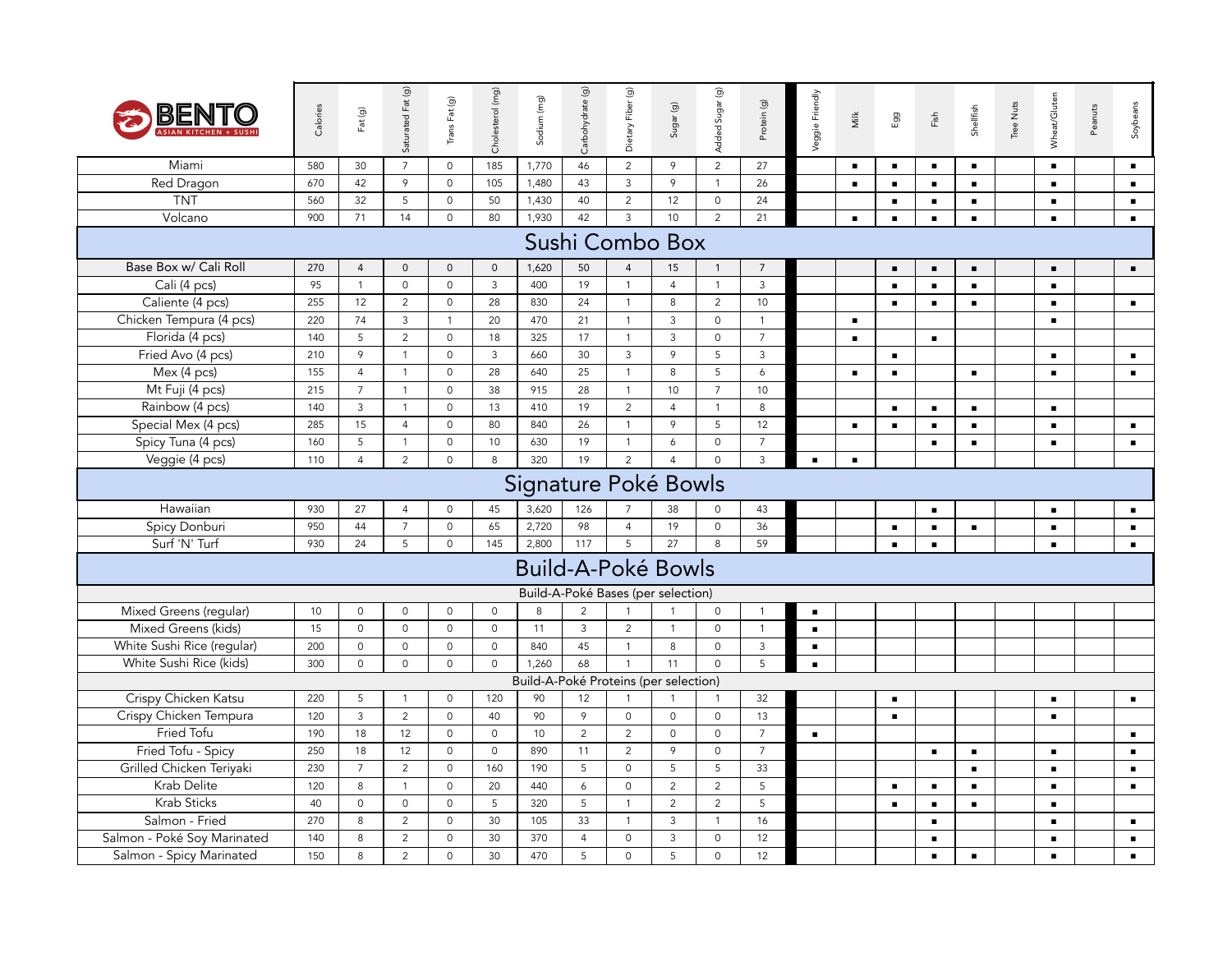| BENTO                       | Calories | Fat (g)        | Saturated Fat (g)   | Trans Fat (g)       | Cholesterol (mg)    | Sodium (mg)                           | Carbohydrate (g) | Dietary Fiber (g)                  | Sugar (g)           | Added Sugar (g)     | Protein (g)    | Veggie Friendly | Milk           | Egg            | $\mathop{\mathsf{Fix}}^{\mathsf{fn}}$ | Shellfish      | Tree Nuts | Wheat/Gluten   | Peanuts | Soybeans       |
|-----------------------------|----------|----------------|---------------------|---------------------|---------------------|---------------------------------------|------------------|------------------------------------|---------------------|---------------------|----------------|-----------------|----------------|----------------|---------------------------------------|----------------|-----------|----------------|---------|----------------|
| Miami                       | 580      | 30             | $\overline{7}$      | $\mathsf{O}$        | 185                 | 1,770                                 | 46               | $\overline{2}$                     | 9                   | $\overline{2}$      | 27             |                 | $\blacksquare$ | $\blacksquare$ | $\blacksquare$                        | $\blacksquare$ |           | $\blacksquare$ |         | $\blacksquare$ |
| <b>Red Dragon</b>           | 670      | 42             | 9                   | $\mathbf 0$         | 105                 | 1,480                                 | 43               | $\mathbf{3}$                       | 9                   | $\overline{1}$      | 26             |                 | $\blacksquare$ | $\blacksquare$ | $\blacksquare$                        | $\blacksquare$ |           | $\blacksquare$ |         | $\blacksquare$ |
| <b>TNT</b>                  | 560      | 32             | 5                   | $\circ$             | 50                  | 1,430                                 | 40               | $\overline{2}$                     | 12                  | $\mathsf{O}\xspace$ | 24             |                 |                | $\blacksquare$ | $\blacksquare$                        | $\blacksquare$ |           | $\blacksquare$ |         | $\blacksquare$ |
| Volcano                     | 900      | 71             | 14                  | $\mathsf{O}\xspace$ | 80                  | 1,930                                 | 42               | $\mathbf{3}$                       | 10                  | $\overline{2}$      | 21             |                 | $\blacksquare$ | $\blacksquare$ | $\blacksquare$                        | $\blacksquare$ |           | $\blacksquare$ |         | $\blacksquare$ |
|                             |          |                |                     |                     |                     |                                       |                  | Sushi Combo Box                    |                     |                     |                |                 |                |                |                                       |                |           |                |         |                |
| Base Box w/ Cali Roll       | 270      | $\overline{4}$ | $\mathbf 0$         | $\mathsf{O}$        | $\mathbf 0$         | 1,620                                 | 50               | $\overline{4}$                     | 15                  | $\overline{1}$      | $\overline{7}$ |                 |                | $\blacksquare$ | $\blacksquare$                        | $\blacksquare$ |           | $\blacksquare$ |         | $\blacksquare$ |
| Cali (4 pcs)                | 95       | $\overline{1}$ | $\circ$             | $\circ$             | $\mathbf{3}$        | 400                                   | 19               | $\mathbf{1}$                       | $\overline{4}$      | $\overline{1}$      | $\overline{3}$ |                 |                | $\blacksquare$ | $\blacksquare$                        | $\blacksquare$ |           | $\blacksquare$ |         |                |
| Caliente (4 pcs)            | 255      | 12             | $\overline{2}$      | $\mathsf{O}\xspace$ | 28                  | 830                                   | 24               | $\overline{1}$                     | 8                   | $\overline{2}$      | 10             |                 |                | $\blacksquare$ | $\blacksquare$                        | $\blacksquare$ |           | $\blacksquare$ |         | $\blacksquare$ |
| Chicken Tempura (4 pcs)     | 220      | 74             | $\mathbf{3}$        | $\mathbf{1}$        | 20                  | 470                                   | 21               | $\overline{1}$                     | 3                   | $\mathsf{O}\xspace$ | $\overline{1}$ |                 | $\blacksquare$ |                |                                       |                |           | $\blacksquare$ |         |                |
| Florida (4 pcs)             | 140      | 5              | $\overline{2}$      | $\circ$             | 18                  | 325                                   | 17               | $\mathbf{1}$                       | 3                   | $\mathsf{O}\xspace$ | $\overline{7}$ |                 | $\blacksquare$ |                | $\blacksquare$                        |                |           |                |         |                |
| Fried Avo (4 pcs)           | 210      | 9              | $\mathbf{1}$        | $\mathbf 0$         | $\mathbf{3}$        | 660                                   | 30               | $\mathbf{3}$                       | 9                   | 5                   | $\overline{3}$ |                 |                | $\blacksquare$ |                                       |                |           | $\blacksquare$ |         | $\blacksquare$ |
| Mex (4 pcs)                 | 155      | $\overline{4}$ | $\mathbf{1}$        | $\mathsf{O}\xspace$ | 28                  | 640                                   | 25               | $\overline{1}$                     | $\,8\,$             | 5                   | 6              |                 | $\blacksquare$ | $\blacksquare$ |                                       | $\blacksquare$ |           | $\blacksquare$ |         | $\blacksquare$ |
| Mt Fuji (4 pcs)             | 215      | $\overline{7}$ | $\mathbf{1}$        | $\mathbf 0$         | 38                  | 915                                   | 28               | $\overline{1}$                     | 10                  | $\overline{7}$      | 10             |                 |                |                |                                       |                |           |                |         |                |
| Rainbow (4 pcs)             | 140      | $\overline{3}$ | $\mathbf{1}$        | $\circ$             | 13                  | 410                                   | 19               | $\overline{2}$                     | $\overline{4}$      | $\mathbf{1}$        | 8              |                 |                | $\blacksquare$ | $\blacksquare$                        | $\blacksquare$ |           | $\blacksquare$ |         |                |
| Special Mex (4 pcs)         | 285      | 15             | $\overline{4}$      | $\circ$             | 80                  | 840                                   | 26               | $\mathbf{1}$                       | 9                   | 5                   | 12             |                 | $\blacksquare$ | $\blacksquare$ | $\blacksquare$                        | $\blacksquare$ |           | $\blacksquare$ |         | $\blacksquare$ |
| Spicy Tuna (4 pcs)          | 160      | 5              | $\mathbf{1}$        | 0                   | 10                  | 630                                   | 19               | $\mathbf{1}$                       | 6                   | $\mathsf{O}\xspace$ | $\overline{7}$ |                 |                |                | $\blacksquare$                        | $\blacksquare$ |           | $\blacksquare$ |         | $\blacksquare$ |
| Veggie (4 pcs)              | 110      | $\overline{4}$ | $\overline{2}$      | $\mathsf{O}\xspace$ | 8                   | 320                                   | 19               | $\overline{2}$                     | $\overline{4}$      | $\mathbf 0$         | $\mathbf{3}$   | $\blacksquare$  | $\blacksquare$ |                |                                       |                |           |                |         |                |
|                             |          |                |                     |                     |                     | Signature Poké Bowls                  |                  |                                    |                     |                     |                |                 |                |                |                                       |                |           |                |         |                |
| Hawaiian                    | 930      | 27             | $\overline{4}$      | $\mathsf{O}\xspace$ | 45                  | 3,620                                 | 126              | $\overline{7}$                     | 38                  | $\mathbf 0$         | 43             |                 |                |                | $\blacksquare$                        |                |           | $\blacksquare$ |         | $\blacksquare$ |
| Spicy Donburi               | 950      | 44             | $\overline{7}$      | $\circ$             | 65                  | 2,720                                 | 98               | $\overline{4}$                     | 19                  | $\mathbf 0$         | 36             |                 |                | $\blacksquare$ | $\blacksquare$                        | $\blacksquare$ |           | $\blacksquare$ |         | $\blacksquare$ |
| Surf 'N' Turf               | 930      | 24             | 5                   | $\mathsf{O}$        | 145                 | 2,800                                 | 117              | 5                                  | 27                  | 8                   | 59             |                 |                | $\blacksquare$ | $\blacksquare$                        |                |           | $\blacksquare$ |         | $\blacksquare$ |
|                             |          |                |                     |                     |                     | <b>Build-A-Poké Bowls</b>             |                  |                                    |                     |                     |                |                 |                |                |                                       |                |           |                |         |                |
|                             |          |                |                     |                     |                     |                                       |                  | Build-A-Poké Bases (per selection) |                     |                     |                |                 |                |                |                                       |                |           |                |         |                |
| Mixed Greens (regular)      | 10       | $\mathbf 0$    | $\mathbf 0$         | $\mathsf{O}$        | $\mathbf 0$         | 8                                     | 2                | $\mathbf{1}$                       | $\overline{1}$      | $\mathbf 0$         | $\overline{1}$ | $\blacksquare$  |                |                |                                       |                |           |                |         |                |
| Mixed Greens (kids)         | 15       | $\mathbf 0$    | $\mathsf{O}\xspace$ | $\mathsf O$         | $\mathbf 0$         | 11                                    | $\mathbf{3}$     | 2                                  | $\overline{1}$      | $\mathbf 0$         | $\overline{1}$ | $\blacksquare$  |                |                |                                       |                |           |                |         |                |
| White Sushi Rice (regular)  | 200      | $\mathbf 0$    | $\mathbf 0$         | $\mathsf{O}$        | $\mathbf 0$         | 840                                   | 45               | $\overline{1}$                     | 8                   | $\mathbf 0$         | $\mathbf{3}$   | $\blacksquare$  |                |                |                                       |                |           |                |         |                |
| White Sushi Rice (kids)     | 300      | $\mathbf 0$    | $\mathbf 0$         | $\mathsf{O}\xspace$ | $\circ$             | 1,260                                 | 68               | $\mathbf{1}$                       | 11                  | $\mathbf 0$         | 5              | $\blacksquare$  |                |                |                                       |                |           |                |         |                |
|                             |          |                |                     |                     |                     | Build-A-Poké Proteins (per selection) |                  |                                    |                     |                     |                |                 |                |                |                                       |                |           |                |         |                |
| Crispy Chicken Katsu        | 220      | 5              | $\mathbf{1}$        | $\mathsf{O}\xspace$ | 120                 | 90                                    | 12               | $\mathbf{1}$                       | $\overline{1}$      | $\mathbf{1}$        | 32             |                 |                | $\blacksquare$ |                                       |                |           | $\blacksquare$ |         | $\blacksquare$ |
| Crispy Chicken Tempura      | 120      | $\mathbf{3}$   | $\overline{2}$      | $\mathbf 0$         | 40                  | 90                                    | 9                | $\mathbf 0$                        | $\mathbf 0$         | $\mathbf 0$         | 13             |                 |                | $\blacksquare$ |                                       |                |           | $\blacksquare$ |         |                |
| Fried Tofu                  | 190      | 18             | 12                  | $\mathsf{O}\xspace$ | $\mathsf{O}\xspace$ | 10                                    | $\overline{2}$   | $\overline{2}$                     | $\mathsf{O}\xspace$ | $\mathsf{O}\xspace$ | $\overline{7}$ | $\blacksquare$  |                |                |                                       |                |           |                |         | $\blacksquare$ |
| Fried Tofu - Spicy          | 250      | 18             | 12                  | $\mathsf{O}$        | $\mathbf 0$         | 890                                   | 11               | 2                                  | 9                   | $\mathsf{O}\xspace$ | $\overline{7}$ |                 |                |                | $\blacksquare$                        | $\blacksquare$ |           | $\blacksquare$ |         | $\blacksquare$ |
| Grilled Chicken Teriyaki    | 230      | $\overline{7}$ | $\overline{2}$      | $\circ$             | 160                 | 190                                   | 5                | $\mathbf 0$                        | 5                   | 5                   | 33             |                 |                |                |                                       | $\blacksquare$ |           | $\blacksquare$ |         | $\blacksquare$ |
| Krab Delite                 | 120      | 8              | $\mathbf{1}$        | $\mathbf 0$         | 20                  | 440                                   | 6                | $\mathbf 0$                        | $\overline{2}$      | $\sqrt{2}$          | 5              |                 |                | $\blacksquare$ | $\blacksquare$                        | $\blacksquare$ |           | $\blacksquare$ |         | $\blacksquare$ |
| Krab Sticks                 | 40       | $\mathbf 0$    | $\mathsf{O}\xspace$ | $\mathsf O$         | 5                   | 320                                   | 5                | $\mathbf{1}$                       | $\sqrt{2}$          | $\sqrt{2}$          | $\overline{5}$ |                 |                | $\blacksquare$ | $\blacksquare$                        | $\blacksquare$ |           | $\blacksquare$ |         |                |
| Salmon - Fried              | 270      | 8              | $\overline{2}$      | $\circ$             | 30                  | 105                                   | 33               | $\overline{1}$                     | $\mathbf{3}$        | $\mathbf{1}$        | 16             |                 |                |                | $\blacksquare$                        |                |           | $\blacksquare$ |         | $\blacksquare$ |
| Salmon - Poké Soy Marinated | 140      | 8              | $\overline{2}$      | $\circ$             | 30                  | 370                                   | $\overline{4}$   | $\mathsf{O}\xspace$                | 3                   | $\mathsf{O}\xspace$ | 12             |                 |                |                | $\blacksquare$                        |                |           | п.             |         | $\blacksquare$ |
| Salmon - Spicy Marinated    | 150      | 8              | $\overline{2}$      | $\mathbf 0$         | 30                  | 470                                   | 5                | $\mathbf 0$                        | 5                   | $\mathbf 0$         | 12             |                 |                |                | $\blacksquare$                        | $\blacksquare$ |           | $\blacksquare$ |         | $\blacksquare$ |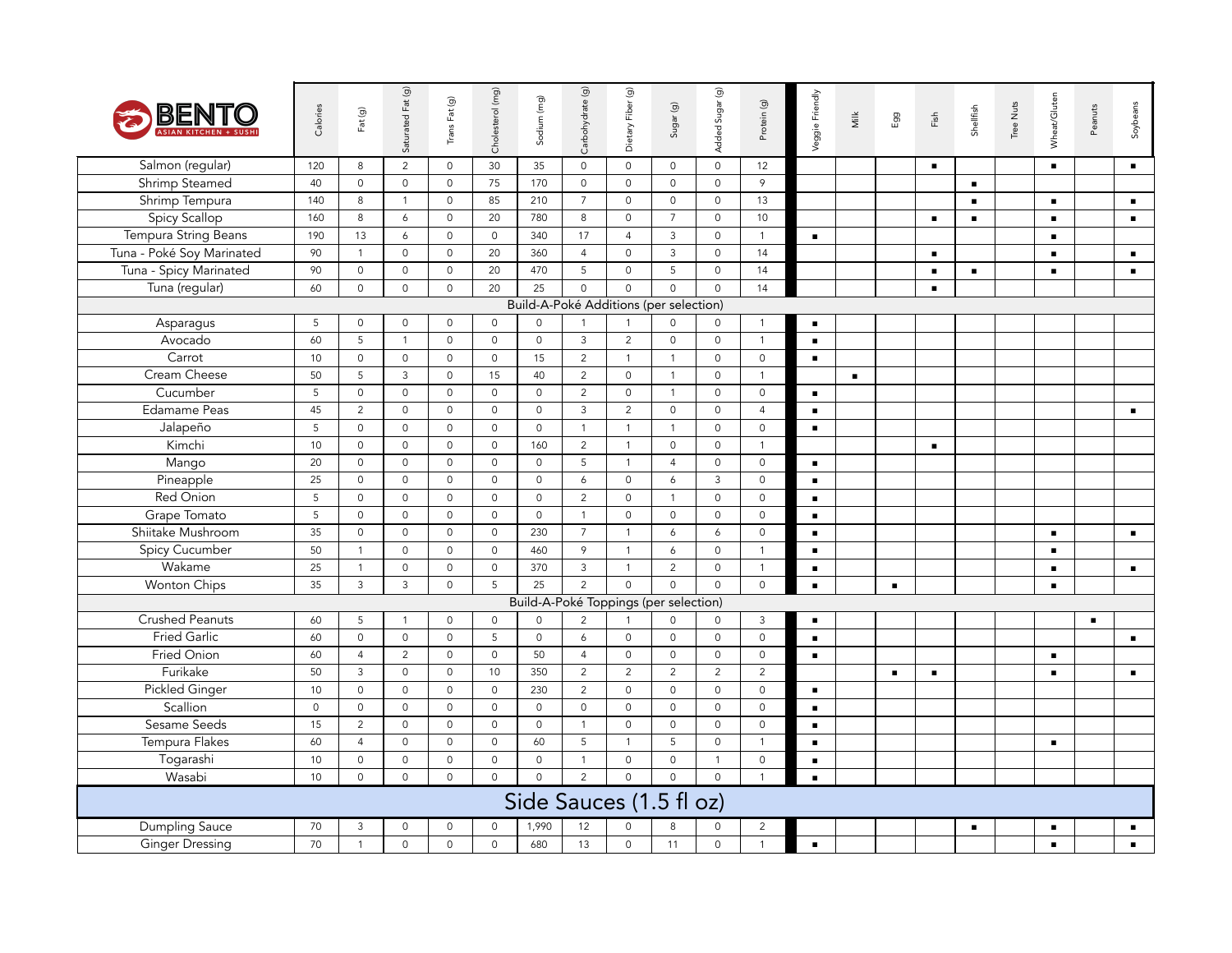| BENTO                     | Calories            | Fat (g)        | Saturated Fat (g)   | Trans Fat (g)       | Cholesterol (mg)    | Sodium (mg)         | Carbohydrate (g)    | Dietary Fiber (g)                      | Sugar (g)           | Added Sugar (g)     | Protein (g)         | Veggie Friendly | Milk           | Egg            | $\mathsf{Fish}$ | Shellfish      | Tree Nuts | Wheat/Gluten   | Peanuts        | Soybeans       |
|---------------------------|---------------------|----------------|---------------------|---------------------|---------------------|---------------------|---------------------|----------------------------------------|---------------------|---------------------|---------------------|-----------------|----------------|----------------|-----------------|----------------|-----------|----------------|----------------|----------------|
| Salmon (regular)          | 120                 | 8              | $\overline{c}$      | $\mathsf{O}\xspace$ | 30                  | 35                  | $\circ$             | $\mathsf{O}$                           | $\mathsf{O}\xspace$ | $\mathsf{O}\xspace$ | 12                  |                 |                |                | $\blacksquare$  |                |           | $\blacksquare$ |                | $\blacksquare$ |
| <b>Shrimp Steamed</b>     | 40                  | $\mathsf{O}$   | $\mathsf{O}\xspace$ | $\mathsf{O}\xspace$ | 75                  | 170                 | $\mathsf 0$         | $\mathsf O$                            | $\mathsf{O}\xspace$ | $\mathsf{O}\xspace$ | $\overline{9}$      |                 |                |                |                 | $\blacksquare$ |           |                |                |                |
| Shrimp Tempura            | 140                 | 8              | $\mathbf{1}$        | $\circ$             | 85                  | 210                 | $7\overline{ }$     | $\mathsf{O}\xspace$                    | $\mathsf{O}\xspace$ | $\mathsf{O}\xspace$ | 13                  |                 |                |                |                 | $\blacksquare$ |           | $\blacksquare$ |                | $\blacksquare$ |
| <b>Spicy Scallop</b>      | 160                 | 8              | 6                   | $\mathsf{O}\xspace$ | 20                  | 780                 | 8                   | $\mathsf O$                            | $\overline{7}$      | $\mathsf{O}\xspace$ | 10                  |                 |                |                | $\blacksquare$  | $\blacksquare$ |           | $\blacksquare$ |                | $\blacksquare$ |
| Tempura String Beans      | 190                 | 13             | 6                   | $\mathsf{O}\xspace$ | $\mathsf{O}$        | 340                 | 17                  | $\overline{4}$                         | $\mathbf{3}$        | $\mathsf{O}\xspace$ | $\overline{1}$      | $\blacksquare$  |                |                |                 |                |           | $\blacksquare$ |                |                |
| Tuna - Poké Soy Marinated | 90                  | $\overline{1}$ | $\mathsf{O}$        | $\circ$             | 20                  | 360                 | $\overline{4}$      | $\mathsf O$                            | $\mathbf{3}$        | $\mathsf{O}\xspace$ | 14                  |                 |                |                | $\blacksquare$  |                |           | $\blacksquare$ |                | $\blacksquare$ |
| Tuna - Spicy Marinated    | 90                  | $\mathbb O$    | $\mathsf{O}\xspace$ | $\mathsf{O}\xspace$ | 20                  | 470                 | 5                   | $\mathsf O$                            | 5                   | $\mathsf{O}\xspace$ | 14                  |                 |                |                | $\blacksquare$  | $\blacksquare$ |           | $\blacksquare$ |                | $\blacksquare$ |
| Tuna (regular)            | 60                  | $\mathbb O$    | $\mathsf O$         | $\mathsf{O}\xspace$ | 20                  | 25                  | $\Omega$            | $\Omega$                               | $\Omega$            | $\mathsf{O}\xspace$ | 14                  |                 |                |                | $\blacksquare$  |                |           |                |                |                |
|                           |                     |                |                     |                     |                     |                     |                     | Build-A-Poké Additions (per selection) |                     |                     |                     |                 |                |                |                 |                |           |                |                |                |
| Asparagus                 | 5                   | $\mathbf 0$    | $\mathsf{O}\xspace$ | $\mathsf{O}\xspace$ | 0                   | $\mathsf{O}\xspace$ | $\mathbf{1}$        | $\mathbf{1}$                           | $\mathsf{O}\xspace$ | $\mathsf{O}$        | $\overline{1}$      | $\blacksquare$  |                |                |                 |                |           |                |                |                |
| Avocado                   | 60                  | 5              | $\mathbf{1}$        | $\mathbf 0$         | $\mathbf{0}$        | $\mathbf 0$         | $\mathbf{3}$        | 2                                      | $\mathbf 0$         | $\mathbf 0$         | $\overline{1}$      | $\blacksquare$  |                |                |                 |                |           |                |                |                |
| Carrot                    | 10                  | $\mathbf 0$    | $\mathbf 0$         | $\mathsf{O}\xspace$ | $\circ$             | 15                  | $\overline{2}$      | $\mathbf{1}$                           | $\overline{1}$      | $\mathbf 0$         | $\circ$             | $\blacksquare$  |                |                |                 |                |           |                |                |                |
| Cream Cheese              | 50                  | 5              | 3                   | $\mathbf 0$         | 15                  | 40                  | $\overline{2}$      | $\mathbf 0$                            | $\mathbf{1}$        | $\mathbf 0$         | $\overline{1}$      |                 | $\blacksquare$ |                |                 |                |           |                |                |                |
| Cucumber                  | 5                   | $\mathbf 0$    | $\mathbf 0$         | $\mathbf 0$         | $\mathbf 0$         | $\mathbf 0$         | $\overline{2}$      | $\mathbf 0$                            | $\overline{1}$      | $\mathbf 0$         | $\circ$             | $\blacksquare$  |                |                |                 |                |           |                |                |                |
| <b>Edamame Peas</b>       | 45                  | 2              | $\mathbf 0$         | $\mathsf{O}\xspace$ | $\circ$             | $\mathsf{O}\xspace$ | $\mathbf{3}$        | 2                                      | $\mathsf{O}$        | $\mathbf 0$         | $\overline{4}$      | $\blacksquare$  |                |                |                 |                |           |                |                | $\blacksquare$ |
| Jalapeño                  | 5                   | $\mathbf 0$    | $\mathbf 0$         | $\mathbf 0$         | $\circ$             | $\mathsf{O}\xspace$ | $\overline{1}$      | $\mathbf{1}$                           | $\overline{1}$      | $\mathbf 0$         | $\mathsf{O}$        | $\blacksquare$  |                |                |                 |                |           |                |                |                |
| Kimchi                    | 10                  | $\mathbf 0$    | $\mathbf 0$         | $\circ$             | $\circ$             | 160                 | 2                   | $\mathbf{1}$                           | $\mathbf 0$         | $\mathbf 0$         | $\overline{1}$      |                 |                |                | $\blacksquare$  |                |           |                |                |                |
| Mango                     | 20                  | $\mathbf 0$    | $\mathbf 0$         | $\mathbf 0$         | $\circ$             | $\mathbf 0$         | 5                   | $\mathbf{1}$                           | $\overline{4}$      | $\mathbf 0$         | $\circ$             | $\blacksquare$  |                |                |                 |                |           |                |                |                |
| Pineapple                 | 25                  | $\mathbf 0$    | $\mathbf 0$         | $\mathbf{0}$        | 0                   | $\mathsf{O}\xspace$ | 6                   | $\mathsf O$                            | 6                   | $\mathbf{3}$        | $\mathsf O$         | $\blacksquare$  |                |                |                 |                |           |                |                |                |
| Red Onion                 | 5                   | $\mathbf 0$    | $\mathbf 0$         | $\mathsf{O}\xspace$ | $\circ$             | $\mathsf{O}\xspace$ | 2                   | $\mathsf O$                            | $\overline{1}$      | $\overline{0}$      | $\mathbf 0$         | $\blacksquare$  |                |                |                 |                |           |                |                |                |
| Grape Tomato              | 5                   | $\mathbf 0$    | $\mathbf 0$         | $\mathsf{O}\xspace$ | $\circ$             | $\mathsf{O}$        | $\mathbf{1}$        | $\circ$                                | $\mathbf 0$         | $\circ$             | $\mathbf 0$         | $\blacksquare$  |                |                |                 |                |           |                |                |                |
| Shiitake Mushroom         | 35                  | $\mathbf 0$    | $\mathbf 0$         | $\mathbf{0}$        | $\circ$             | 230                 | $\overline{7}$      | $\mathbf{1}$                           | 6                   | 6                   | $\mathbf 0$         | $\blacksquare$  |                |                |                 |                |           | $\blacksquare$ |                | $\blacksquare$ |
| <b>Spicy Cucumber</b>     | 50                  | $\overline{1}$ | $\mathbf 0$         | $\mathsf{O}\xspace$ | $\mathsf{O}$        | 460                 | 9                   | $\mathbf{1}$                           | 6                   | $\mathsf{O}\xspace$ | $\mathbf{1}$        | $\blacksquare$  |                |                |                 |                |           | $\blacksquare$ |                |                |
| Wakame                    | 25                  | $\overline{1}$ | $\mathbf 0$         | $\mathbf 0$         | $\mathsf{O}$        | 370                 | $\mathbf{3}$        | $\mathbf{1}$                           | $\overline{2}$      | $\circ$             | $\mathbf{1}$        | $\blacksquare$  |                |                |                 |                |           | $\blacksquare$ |                | $\blacksquare$ |
| Wonton Chips              | 35                  | $\mathbf{3}$   | $\mathsf{3}$        | $\circ$             | 5                   | 25                  | $\overline{2}$      | $\circ$                                | $\circ$             | $\mathsf{O}\xspace$ | $\mathsf{O}$        | $\blacksquare$  |                | $\blacksquare$ |                 |                |           | $\blacksquare$ |                |                |
|                           |                     |                |                     |                     |                     |                     |                     | Build-A-Poké Toppings (per selection)  |                     |                     |                     |                 |                |                |                 |                |           |                |                |                |
| <b>Crushed Peanuts</b>    | 60                  | 5              | $\mathbf{1}$        | $\circ$             | $\mathsf{O}\xspace$ | $\mathsf{O}\xspace$ | 2                   | $\mathbf{1}$                           | 0                   | $\mathsf{O}$        | $\mathbf{3}$        | $\blacksquare$  |                |                |                 |                |           |                | $\blacksquare$ |                |
| <b>Fried Garlic</b>       | 60                  | $\mathsf{O}$   | $\mathbf 0$         | $\mathsf{O}\xspace$ | 5                   | $\mathsf{O}\xspace$ | 6                   | $\mathsf O$                            | $\mathsf{O}\xspace$ | $\mathbf 0$         | $\mathbf 0$         | $\blacksquare$  |                |                |                 |                |           |                |                | $\blacksquare$ |
| Fried Onion               | 60                  | $\overline{4}$ | $\overline{2}$      | $\mathsf{O}\xspace$ | $\mathsf{O}$        | 50                  | $\overline{4}$      | $\mathsf{O}\xspace$                    | $\mathsf{O}\xspace$ | $\mathsf{O}\xspace$ | $\mathsf{O}\xspace$ | $\blacksquare$  |                |                |                 |                |           | $\blacksquare$ |                |                |
| Furikake                  | 50                  | $\mathbf{3}$   | $\mathbf 0$         | $\circ$             | 10                  | 350                 | 2                   | 2                                      | 2                   | $\overline{2}$      | 2                   |                 |                | $\blacksquare$ | $\blacksquare$  |                |           | $\blacksquare$ |                | $\blacksquare$ |
| <b>Pickled Ginger</b>     | 10                  | $\mathsf{O}$   | $\mathbf 0$         | $\mathsf{O}\xspace$ | $\mathsf{O}$        | 230                 | $\overline{2}$      | $\mathsf O$                            | $\mathsf{O}$        | $\mathsf{O}\xspace$ | $\mathbf 0$         | $\blacksquare$  |                |                |                 |                |           |                |                |                |
| Scallion                  | $\mathsf{O}\xspace$ | $\mathsf O$    | $\mathbf 0$         | $\mathsf{O}\xspace$ | $\mathsf{O}$        | $\mathsf{O}$        | $\mathsf{O}\xspace$ | $\mathsf O$                            | $\mathsf{O}\xspace$ | $\mathsf{O}\xspace$ | $\mathsf{O}$        | $\blacksquare$  |                |                |                 |                |           |                |                |                |
| Sesame Seeds              | 15                  | $\overline{2}$ | $\mathsf{O}\xspace$ | $\circ$             | $\mathsf{O}$        | $\mathsf{O}$        | $\mathbf{1}$        | $\mathsf O$                            | $\mathsf{O}\xspace$ | $\mathsf{O}\xspace$ | $\mathsf{O}$        | $\blacksquare$  |                |                |                 |                |           |                |                |                |
| Tempura Flakes            | 60                  | $\overline{4}$ | $\mathbf 0$         | $\mathsf{O}\xspace$ | $\mathsf{O}$        | 60                  | 5                   | $\mathbf{1}$                           | 5                   | $\mathsf{O}\xspace$ | $\overline{1}$      | $\blacksquare$  |                |                |                 |                |           | $\blacksquare$ |                |                |
| Togarashi                 | 10                  | $\mathsf O$    | $\mathbf 0$         | $\mathsf{O}\xspace$ | $\mathsf{O}$        | $\mathsf{O}\xspace$ | $\mathbf{1}$        | $\mathsf O$                            | $\mathsf{O}\xspace$ | $\mathbf{1}$        | $\mathbb O$         | $\blacksquare$  |                |                |                 |                |           |                |                |                |
| Wasabi                    | 10                  | $\mathbf 0$    | $\mathbf 0$         | $\circ$             | $\circ$             | $\mathbf 0$         | 2                   | $\mathsf{O}\xspace$                    | $\circ$             | $\circ$             | $\mathbf{1}$        | $\blacksquare$  |                |                |                 |                |           |                |                |                |
|                           |                     |                |                     |                     |                     |                     |                     | Side Sauces (1.5 fl oz)                |                     |                     |                     |                 |                |                |                 |                |           |                |                |                |
| Dumpling Sauce            | 70                  | 3              | $\mathbf 0$         | $\mathsf{O}$        | 0                   | 1,990               | 12                  | $\mathbf 0$                            | 8                   | $\mathbf 0$         | $\overline{2}$      |                 |                |                |                 | $\blacksquare$ |           | $\blacksquare$ |                | $\blacksquare$ |
| <b>Ginger Dressing</b>    | 70                  | $\overline{1}$ | $\mathbf 0$         | $\circ$             | $\mathsf{O}$        | 680                 | 13                  | $\mathsf{O}\xspace$                    | 11                  | $\mathsf{O}\xspace$ | $\overline{1}$      | $\blacksquare$  |                |                |                 |                |           | $\blacksquare$ |                | $\blacksquare$ |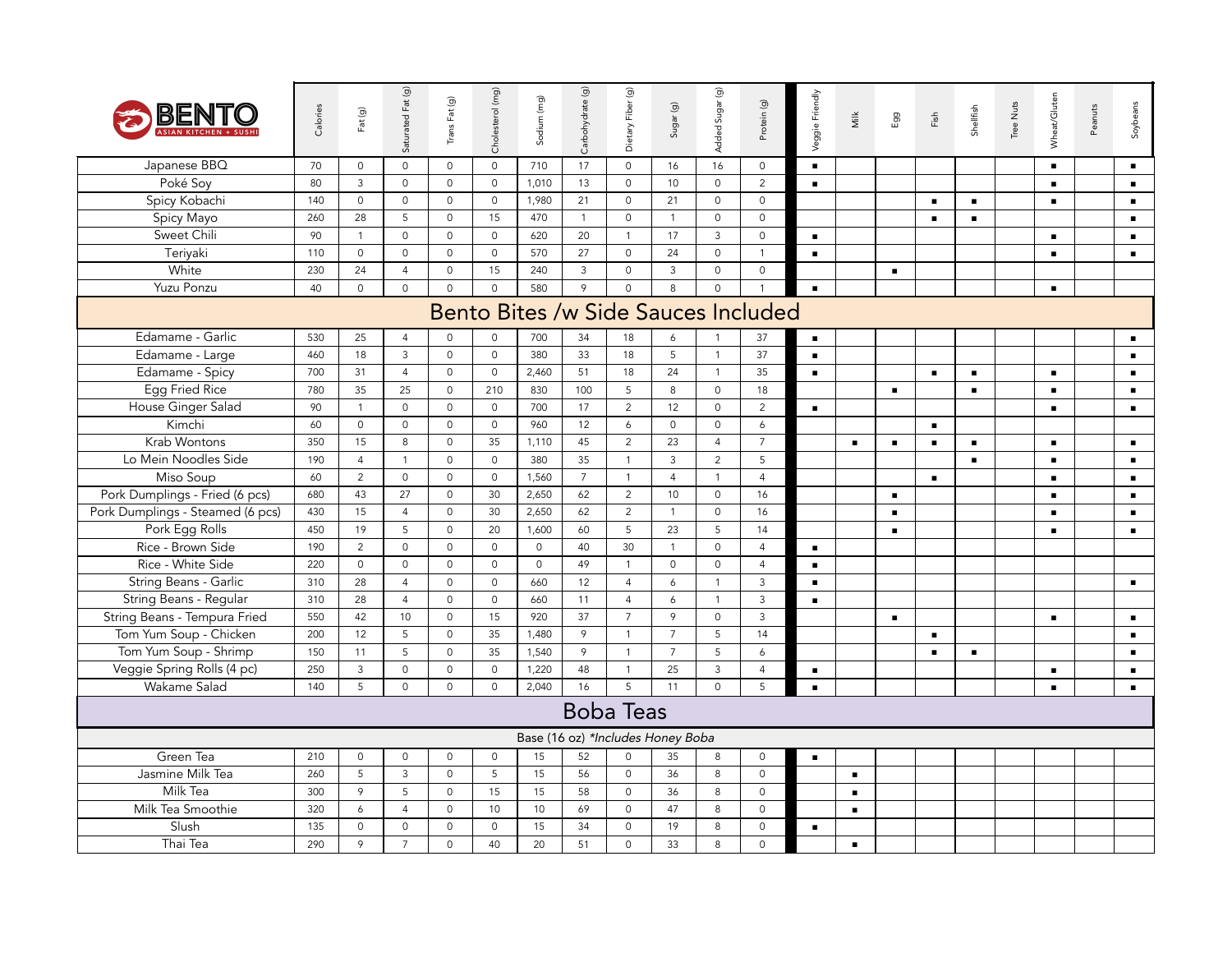| BEN                              | Calories | Fat(g)         | Saturated Fat (g)   | Trans Fat (g)       | Cholesterol (mg)    | Sodium (mg)                       | Carbohydrate (g) | $\widehat{\mathcal{Q}}$<br>Dietary Fiber | $S \cup gar(g)$ | Added Sugar (g)     | Protein (g)                         | Veggie Friendly | Νilk           | Egg            | Fish           | Shellfish      | Tree Nuts | Wheat/Gluten   | Peanuts | Soybeans       |
|----------------------------------|----------|----------------|---------------------|---------------------|---------------------|-----------------------------------|------------------|------------------------------------------|-----------------|---------------------|-------------------------------------|-----------------|----------------|----------------|----------------|----------------|-----------|----------------|---------|----------------|
| Japanese BBQ                     | 70       | $\mathbf 0$    | $\mathbf{0}$        | $\mathbf 0$         | $\mathbf 0$         | 710                               | 17               | $\mathbf 0$                              | 16              | 16                  | $\mathsf 0$                         | $\blacksquare$  |                |                |                |                |           | $\blacksquare$ |         | $\blacksquare$ |
| Poké Soy                         | 80       | $\mathbf{3}$   | $\mathbf 0$         | $\mathbf 0$         | $\mathbf 0$         | 1,010                             | 13               | $\mathbf 0$                              | 10              | $\mathbf 0$         | 2                                   | $\blacksquare$  |                |                |                |                |           | $\blacksquare$ |         | $\blacksquare$ |
| Spicy Kobachi                    | 140      | $\mathbf 0$    | $\mathsf{O}$        | $\circ$             | $\circ$             | 1,980                             | 21               | $\mathbf 0$                              | 21              | $\mathbf 0$         | $\circ$                             |                 |                |                | $\blacksquare$ | $\blacksquare$ |           | $\blacksquare$ |         | $\blacksquare$ |
| Spicy Mayo                       | 260      | 28             | 5                   | $\mathsf{O}\xspace$ | 15                  | 470                               | $\overline{1}$   | $\mathsf O$                              | $\overline{1}$  | $\mathsf{O}\xspace$ | $\circ$                             |                 |                |                | $\blacksquare$ | $\blacksquare$ |           |                |         | $\blacksquare$ |
| Sweet Chili                      | 90       | $\overline{1}$ | $\mathsf{O}\xspace$ | $\circ$             | $\circ$             | 620                               | 20               | $\mathbf{1}$                             | 17              | $\mathbf{3}$        | $\mathsf{O}$                        | $\blacksquare$  |                |                |                |                |           | $\blacksquare$ |         | $\blacksquare$ |
| Teriyaki                         | 110      | $\mathbf 0$    | $\mathbf{0}$        | $\circ$             | $\mathbf{0}$        | 570                               | 27               | $\mathbf 0$                              | 24              | $\mathbf 0$         | $\overline{1}$                      | $\blacksquare$  |                |                |                |                |           | $\blacksquare$ |         | $\blacksquare$ |
| White                            | 230      | 24             | $\overline{4}$      | $\mathsf{O}\xspace$ | 15                  | 240                               | 3                | $\mathsf{O}\xspace$                      | $\mathbf{3}$    | $\mathsf{O}$        | $\mathbf 0$                         |                 |                | $\blacksquare$ |                |                |           |                |         |                |
| Yuzu Ponzu                       | 40       | $\mathbf 0$    | $\mathbf 0$         | $\Omega$            | $\Omega$            | 580                               | $\circ$          | $\mathbf 0$                              | 8               | $\mathbf 0$         |                                     | $\blacksquare$  |                |                |                |                |           | $\blacksquare$ |         |                |
|                                  |          |                |                     |                     |                     |                                   |                  |                                          |                 |                     | Bento Bites /w Side Sauces Included |                 |                |                |                |                |           |                |         |                |
| Edamame - Garlic                 | 530      | 25             | $\overline{4}$      | 0                   | $\mathbf 0$         | 700                               | 34               | 18                                       | 6               |                     | 37                                  | $\blacksquare$  |                |                |                |                |           |                |         | $\blacksquare$ |
| Edamame - Large                  | 460      | 18             | 3                   | $\mathsf{O}\xspace$ | $\mathsf{O}\xspace$ | 380                               | 33               | 18                                       | 5               | $\mathbf{1}$        | 37                                  | $\blacksquare$  |                |                |                |                |           |                |         | $\blacksquare$ |
| Edamame - Spicy                  | 700      | 31             | $\overline{4}$      | $\mathbf 0$         | $\circ$             | 2,460                             | 51               | 18                                       | 24              | $\mathbf{1}$        | 35                                  | $\blacksquare$  |                |                | $\blacksquare$ | $\blacksquare$ |           | $\blacksquare$ |         | $\blacksquare$ |
| Egg Fried Rice                   | 780      | 35             | 25                  | $\mathbf 0$         | 210                 | 830                               | 100              | 5                                        | 8               | $\mathbf 0$         | 18                                  |                 |                | п.             |                | $\blacksquare$ |           | $\blacksquare$ |         | $\blacksquare$ |
| House Ginger Salad               | 90       | $\overline{1}$ | $\mathsf{O}$        | $\mathbf 0$         | $\mathbf 0$         | 700                               | 17               | $\overline{2}$                           | 12              | $\mathbf 0$         | $\overline{2}$                      | $\blacksquare$  |                |                |                |                |           | $\blacksquare$ |         | $\blacksquare$ |
| Kimchi                           | 60       | $\mathbf 0$    | $\mathbf 0$         | $\mathsf{O}\xspace$ | $\mathbf 0$         | 960                               | 12               | 6                                        | $\mathbf 0$     | $\mathsf{O}\xspace$ | 6                                   |                 |                |                | $\blacksquare$ |                |           |                |         |                |
| Krab Wontons                     | 350      | 15             | 8                   | $\mathsf{O}\xspace$ | 35                  | 1,110                             | 45               | $\overline{2}$                           | 23              | $\overline{4}$      | $\overline{7}$                      |                 | $\blacksquare$ | $\blacksquare$ | $\blacksquare$ | $\blacksquare$ |           | $\blacksquare$ |         | $\blacksquare$ |
| Lo Mein Noodles Side             | 190      | $\overline{4}$ | $\mathbf{1}$        | $\mathsf{O}\xspace$ | $\circ$             | 380                               | 35               | $\mathbf{1}$                             | $\mathbf{3}$    | 2                   | 5                                   |                 |                |                |                | $\blacksquare$ |           | $\blacksquare$ |         | $\blacksquare$ |
| Miso Soup                        | 60       | $\overline{2}$ | $\mathsf{O}$        | $\mathsf{O}\xspace$ | $\mathsf{O}\xspace$ | 1,560                             | $7^{\circ}$      | $\mathbf{1}$                             | $\overline{4}$  | $\mathbf{1}$        | $\overline{4}$                      |                 |                |                | $\blacksquare$ |                |           | $\blacksquare$ |         | $\blacksquare$ |
| Pork Dumplings - Fried (6 pcs)   | 680      | 43             | 27                  | $\mathsf{O}\xspace$ | 30                  | 2,650                             | 62               | $\overline{2}$                           | 10              | $\mathsf{O}$        | 16                                  |                 |                | $\blacksquare$ |                |                |           | $\blacksquare$ |         | $\blacksquare$ |
| Pork Dumplings - Steamed (6 pcs) | 430      | 15             | $\overline{4}$      | $\mathsf{O}\xspace$ | 30                  | 2,650                             | 62               | $\overline{2}$                           | $\overline{1}$  | $\mathsf{O}$        | 16                                  |                 |                | $\blacksquare$ |                |                |           | $\blacksquare$ |         | $\blacksquare$ |
| Pork Egg Rolls                   | 450      | 19             | 5                   | $\mathbf 0$         | 20                  | 1,600                             | 60               | 5                                        | 23              | 5                   | 14                                  |                 |                | $\blacksquare$ |                |                |           | $\blacksquare$ |         | $\blacksquare$ |
| Rice - Brown Side                | 190      | 2              | $\mathbf{0}$        | $\mathbf 0$         | $\mathbf 0$         | $\mathbf 0$                       | 40               | 30                                       | $\overline{1}$  | $\mathbf 0$         | $\overline{4}$                      | $\blacksquare$  |                |                |                |                |           |                |         |                |
| Rice - White Side                | 220      | $\mathbf 0$    | $\mathbf 0$         | $\mathsf{O}\xspace$ | $\mathbf 0$         | $\mathsf{O}\xspace$               | 49               | $\mathbf{1}$                             | $\mathbf 0$     | $\mathbf 0$         | $\overline{4}$                      | $\blacksquare$  |                |                |                |                |           |                |         |                |
| String Beans - Garlic            | 310      | 28             | $\overline{4}$      | $\mathsf{O}$        | $\circ$             | 660                               | 12               | $\overline{4}$                           | 6               | $\mathbf{1}$        | $\overline{3}$                      | $\blacksquare$  |                |                |                |                |           |                |         | $\blacksquare$ |
| String Beans - Regular           | 310      | 28             | $\overline{4}$      | $\circ$             | $\mathsf{O}\xspace$ | 660                               | 11               | $\overline{4}$                           | 6               | $\mathbf{1}$        | $\mathbf{3}$                        | $\blacksquare$  |                |                |                |                |           |                |         |                |
| String Beans - Tempura Fried     | 550      | 42             | 10                  | $\circ$             | 15                  | 920                               | 37               | $\overline{7}$                           | 9               | $\mathbf 0$         | $\overline{3}$                      |                 |                | $\blacksquare$ |                |                |           | $\blacksquare$ |         | $\blacksquare$ |
| Tom Yum Soup - Chicken           | 200      | 12             | 5                   | $\circ$             | 35                  | 1,480                             | 9                | $\mathbf{1}$                             | $\overline{7}$  | 5                   | 14                                  |                 |                |                | $\blacksquare$ |                |           |                |         | $\blacksquare$ |
| Tom Yum Soup - Shrimp            | 150      | 11             | 5                   | $\mathsf{O}\xspace$ | 35                  | 1,540                             | 9                | $\mathbf{1}$                             | $\overline{7}$  | 5                   | 6                                   |                 |                |                | $\blacksquare$ | $\blacksquare$ |           |                |         | $\blacksquare$ |
| Veggie Spring Rolls (4 pc)       | 250      | $\mathbf{3}$   | $\mathsf{O}$        | $\mathsf{O}\xspace$ | $\mathsf{O}\xspace$ | 1,220                             | 48               | $\mathbf{1}$                             | 25              | $\mathbf{3}$        | $\overline{4}$                      | $\blacksquare$  |                |                |                |                |           | $\blacksquare$ |         | $\blacksquare$ |
| Wakame Salad                     | 140      | 5              | $\mathsf{O}$        | $\circ$             | $\Omega$            | 2,040                             | 16               | $\overline{5}$                           | 11              | $\mathbf 0$         | 5                                   | $\blacksquare$  |                |                |                |                |           | $\blacksquare$ |         | $\blacksquare$ |
|                                  |          |                |                     |                     |                     |                                   |                  | <b>Boba Teas</b>                         |                 |                     |                                     |                 |                |                |                |                |           |                |         |                |
|                                  |          |                |                     |                     |                     | Base (16 oz) *Includes Honey Boba |                  |                                          |                 |                     |                                     |                 |                |                |                |                |           |                |         |                |
| Green Tea                        | 210      | $\mathbf 0$    | $\mathsf O$         | $\mathsf{O}\xspace$ | $\mathsf{O}\xspace$ | 15                                | 52               | $\mathbf 0$                              | 35              | 8                   | $\circ$                             | $\blacksquare$  |                |                |                |                |           |                |         |                |
| Jasmine Milk Tea                 | 260      | 5              | $\mathbf{3}$        | $\circ$             | 5                   | 15                                | 56               | $\mathbf 0$                              | 36              | 8                   | $\mathsf{O}$                        |                 | $\blacksquare$ |                |                |                |           |                |         |                |
| Milk Tea                         | 300      | 9              | 5                   | $\mathsf{O}\xspace$ | 15                  | 15                                | 58               | $\mathsf O$                              | 36              | 8                   | $\mathsf{O}$                        |                 | $\blacksquare$ |                |                |                |           |                |         |                |
| Milk Tea Smoothie                | 320      | 6              | $\overline{4}$      | $\mathsf{O}\xspace$ | 10                  | 10                                | 69               | $\mathsf{O}\xspace$                      | 47              | $\,8\,$             | $\mathbf 0$                         |                 | $\blacksquare$ |                |                |                |           |                |         |                |
| Slush                            | 135      | $\mathbf 0$    | $\mathbf{0}$        | $\mathbf 0$         | $\mathbf 0$         | 15                                | 34               | $\mathbf 0$                              | 19              | 8                   | $\mathbf 0$                         | $\blacksquare$  |                |                |                |                |           |                |         |                |
| Thai Tea                         | 290      | 9              | $\overline{7}$      | $\mathsf{O}$        | 40                  | 20                                | 51               | $\mathbf 0$                              | 33              | 8                   | $\circ$                             |                 | $\blacksquare$ |                |                |                |           |                |         |                |